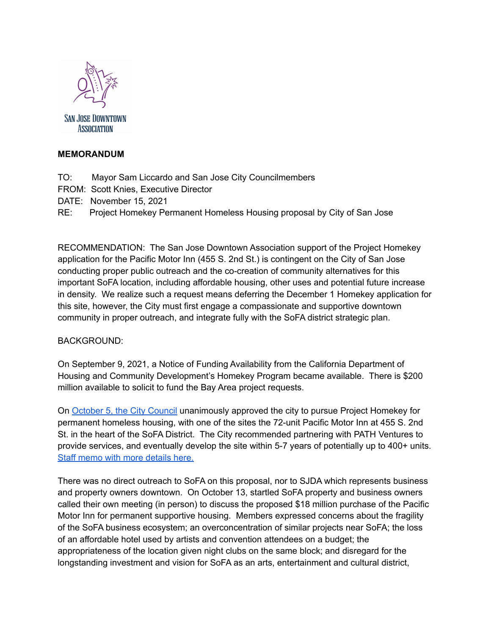

**SAN JOSE DOWNTOWN ASSOCIATION** 

## **MEMORANDUM**

- TO: Mayor Sam Liccardo and San Jose City Councilmembers
- FROM: Scott Knies, Executive Director
- DATE: November 15, 2021

RE: Project Homekey Permanent Homeless Housing proposal by City of San Jose

RECOMMENDATION: The San Jose Downtown Association support of the Project Homekey application for the Pacific Motor Inn (455 S. 2nd St.) is contingent on the City of San Jose conducting proper public outreach and the co-creation of community alternatives for this important SoFA location, including affordable housing, other uses and potential future increase in density. We realize such a request means deferring the December 1 Homekey application for this site, however, the City must first engage a compassionate and supportive downtown community in proper outreach, and integrate fully with the SoFA district strategic plan.

## BACKGROUND:

On September 9, 2021, a Notice of Funding Availability from the California Department of Housing and Community Development's Homekey Program became available. There is \$200 million available to solicit to fund the Bay Area project requests.

On [October](https://sanjose.legistar.com/LegislationDetail.aspx?ID=5145674&GUID=D1938B3C-9E03-46AD-89AA-4BC88B132708&Options=&Search=) 5, the City Council unanimously approved the city to pursue Project Homekey for permanent homeless housing, with one of the sites the 72-unit Pacific Motor Inn at 455 S. 2nd St. in the heart of the SoFA District. The City recommended partnering with PATH Ventures to provide services, and eventually develop the site within 5-7 years of potentially up to 400+ units. Staff memo with more [details](https://sanjose.legistar.com/View.ashx?M=F&ID=9841699&GUID=EAA3B40D-E238-4FEE-B1DD-975DFD2DA6A2) here.

There was no direct outreach to SoFA on this proposal, nor to SJDA which represents business and property owners downtown. On October 13, startled SoFA property and business owners called their own meeting (in person) to discuss the proposed \$18 million purchase of the Pacific Motor Inn for permanent supportive housing. Members expressed concerns about the fragility of the SoFA business ecosystem; an overconcentration of similar projects near SoFA; the loss of an affordable hotel used by artists and convention attendees on a budget; the appropriateness of the location given night clubs on the same block; and disregard for the longstanding investment and vision for SoFA as an arts, entertainment and cultural district,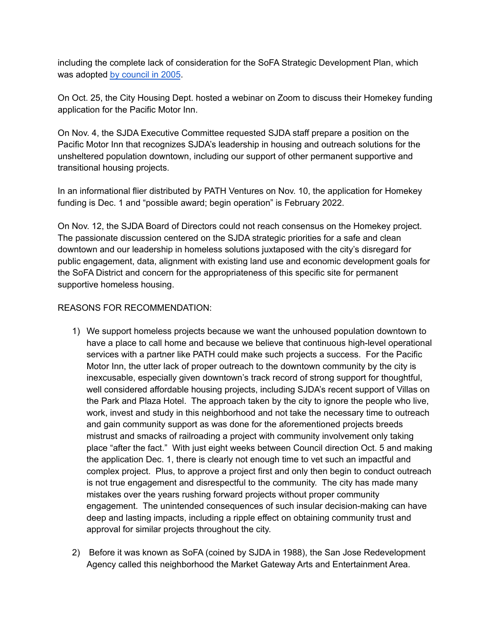including the complete lack of consideration for the SoFA Strategic Development Plan, which was adopted by [council](http://www3.sanjoseca.gov/clerk/Agenda/06_21_05docs/062105_12.04a-g_att.pdf) in 2005.

On Oct. 25, the City Housing Dept. hosted a webinar on Zoom to discuss their Homekey funding application for the Pacific Motor Inn.

On Nov. 4, the SJDA Executive Committee requested SJDA staff prepare a position on the Pacific Motor Inn that recognizes SJDA's leadership in housing and outreach solutions for the unsheltered population downtown, including our support of other permanent supportive and transitional housing projects.

In an informational flier distributed by PATH Ventures on Nov. 10, the application for Homekey funding is Dec. 1 and "possible award; begin operation" is February 2022.

On Nov. 12, the SJDA Board of Directors could not reach consensus on the Homekey project. The passionate discussion centered on the SJDA strategic priorities for a safe and clean downtown and our leadership in homeless solutions juxtaposed with the city's disregard for public engagement, data, alignment with existing land use and economic development goals for the SoFA District and concern for the appropriateness of this specific site for permanent supportive homeless housing.

## REASONS FOR RECOMMENDATION:

- 1) We support homeless projects because we want the unhoused population downtown to have a place to call home and because we believe that continuous high-level operational services with a partner like PATH could make such projects a success. For the Pacific Motor Inn, the utter lack of proper outreach to the downtown community by the city is inexcusable, especially given downtown's track record of strong support for thoughtful, well considered affordable housing projects, including SJDA's recent support of Villas on the Park and Plaza Hotel. The approach taken by the city to ignore the people who live, work, invest and study in this neighborhood and not take the necessary time to outreach and gain community support as was done for the aforementioned projects breeds mistrust and smacks of railroading a project with community involvement only taking place "after the fact." With just eight weeks between Council direction Oct. 5 and making the application Dec. 1, there is clearly not enough time to vet such an impactful and complex project. Plus, to approve a project first and only then begin to conduct outreach is not true engagement and disrespectful to the community. The city has made many mistakes over the years rushing forward projects without proper community engagement. The unintended consequences of such insular decision-making can have deep and lasting impacts, including a ripple effect on obtaining community trust and approval for similar projects throughout the city.
- 2) Before it was known as SoFA (coined by SJDA in 1988), the San Jose Redevelopment Agency called this neighborhood the Market Gateway Arts and Entertainment Area.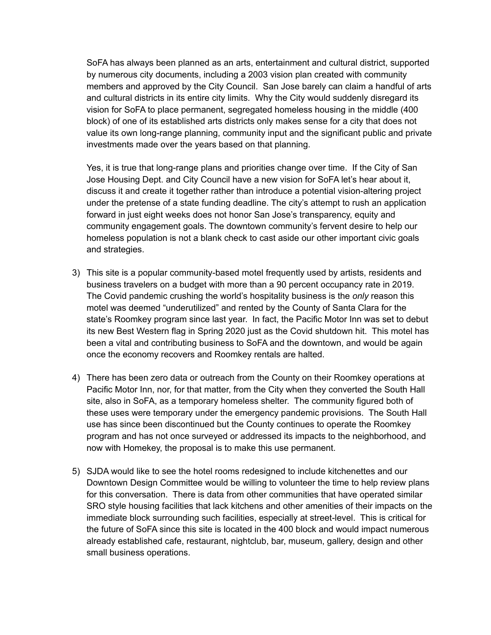SoFA has always been planned as an arts, entertainment and cultural district, supported by numerous city documents, including a 2003 vision plan created with community members and approved by the City Council. San Jose barely can claim a handful of arts and cultural districts in its entire city limits. Why the City would suddenly disregard its vision for SoFA to place permanent, segregated homeless housing in the middle (400 block) of one of its established arts districts only makes sense for a city that does not value its own long-range planning, community input and the significant public and private investments made over the years based on that planning.

Yes, it is true that long-range plans and priorities change over time. If the City of San Jose Housing Dept. and City Council have a new vision for SoFA let's hear about it, discuss it and create it together rather than introduce a potential vision-altering project under the pretense of a state funding deadline. The city's attempt to rush an application forward in just eight weeks does not honor San Jose's transparency, equity and community engagement goals. The downtown community's fervent desire to help our homeless population is not a blank check to cast aside our other important civic goals and strategies.

- 3) This site is a popular community-based motel frequently used by artists, residents and business travelers on a budget with more than a 90 percent occupancy rate in 2019. The Covid pandemic crushing the world's hospitality business is the *only* reason this motel was deemed "underutilized" and rented by the County of Santa Clara for the state's Roomkey program since last year. In fact, the Pacific Motor Inn was set to debut its new Best Western flag in Spring 2020 just as the Covid shutdown hit. This motel has been a vital and contributing business to SoFA and the downtown, and would be again once the economy recovers and Roomkey rentals are halted.
- 4) There has been zero data or outreach from the County on their Roomkey operations at Pacific Motor Inn, nor, for that matter, from the City when they converted the South Hall site, also in SoFA, as a temporary homeless shelter. The community figured both of these uses were temporary under the emergency pandemic provisions. The South Hall use has since been discontinued but the County continues to operate the Roomkey program and has not once surveyed or addressed its impacts to the neighborhood, and now with Homekey, the proposal is to make this use permanent.
- 5) SJDA would like to see the hotel rooms redesigned to include kitchenettes and our Downtown Design Committee would be willing to volunteer the time to help review plans for this conversation. There is data from other communities that have operated similar SRO style housing facilities that lack kitchens and other amenities of their impacts on the immediate block surrounding such facilities, especially at street-level. This is critical for the future of SoFA since this site is located in the 400 block and would impact numerous already established cafe, restaurant, nightclub, bar, museum, gallery, design and other small business operations.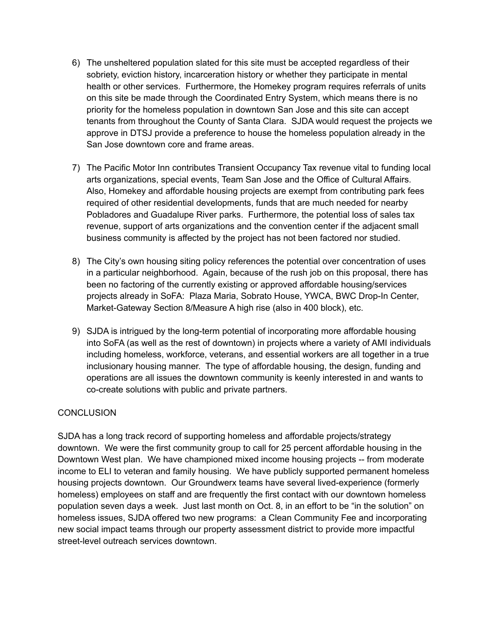- 6) The unsheltered population slated for this site must be accepted regardless of their sobriety, eviction history, incarceration history or whether they participate in mental health or other services. Furthermore, the Homekey program requires referrals of units on this site be made through the Coordinated Entry System, which means there is no priority for the homeless population in downtown San Jose and this site can accept tenants from throughout the County of Santa Clara. SJDA would request the projects we approve in DTSJ provide a preference to house the homeless population already in the San Jose downtown core and frame areas.
- 7) The Pacific Motor Inn contributes Transient Occupancy Tax revenue vital to funding local arts organizations, special events, Team San Jose and the Office of Cultural Affairs. Also, Homekey and affordable housing projects are exempt from contributing park fees required of other residential developments, funds that are much needed for nearby Pobladores and Guadalupe River parks. Furthermore, the potential loss of sales tax revenue, support of arts organizations and the convention center if the adjacent small business community is affected by the project has not been factored nor studied.
- 8) The City's own housing siting policy references the potential over concentration of uses in a particular neighborhood. Again, because of the rush job on this proposal, there has been no factoring of the currently existing or approved affordable housing/services projects already in SoFA: Plaza Maria, Sobrato House, YWCA, BWC Drop-In Center, Market-Gateway Section 8/Measure A high rise (also in 400 block), etc.
- 9) SJDA is intrigued by the long-term potential of incorporating more affordable housing into SoFA (as well as the rest of downtown) in projects where a variety of AMI individuals including homeless, workforce, veterans, and essential workers are all together in a true inclusionary housing manner. The type of affordable housing, the design, funding and operations are all issues the downtown community is keenly interested in and wants to co-create solutions with public and private partners.

## **CONCLUSION**

SJDA has a long track record of supporting homeless and affordable projects/strategy downtown. We were the first community group to call for 25 percent affordable housing in the Downtown West plan. We have championed mixed income housing projects -- from moderate income to ELI to veteran and family housing. We have publicly supported permanent homeless housing projects downtown. Our Groundwerx teams have several lived-experience (formerly homeless) employees on staff and are frequently the first contact with our downtown homeless population seven days a week. Just last month on Oct. 8, in an effort to be "in the solution" on homeless issues, SJDA offered two new programs: a Clean Community Fee and incorporating new social impact teams through our property assessment district to provide more impactful street-level outreach services downtown.